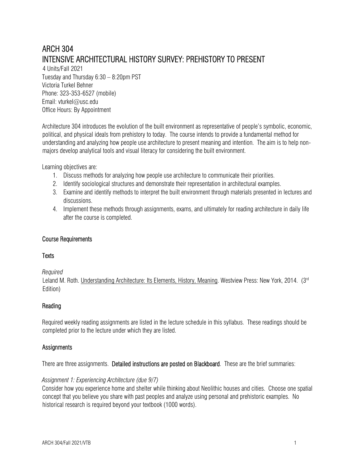# ARCH 304 INTENSIVE ARCHITECTURAL HISTORY SURVEY: PREHISTORY TO PRESENT

4 Units/Fall 2021 Tuesday and Thursday 6:30 – 8:20pm PST Victoria Turkel Behner Phone: 323-353-6527 (mobile) Email: vturkel@usc.edu Office Hours: By Appointment

Architecture 304 introduces the evolution of the built environment as representative of people's symbolic, economic, political, and physical ideals from prehistory to today. The course intends to provide a fundamental method for understanding and analyzing how people use architecture to present meaning and intention. The aim is to help nonmajors develop analytical tools and visual literacy for considering the built environment.

Learning objectives are:

- 1. Discuss methods for analyzing how people use architecture to communicate their priorities.
- 2. Identify sociological structures and demonstrate their representation in architectural examples.
- 3. Examine and identify methods to interpret the built environment through materials presented in lectures and discussions.
- 4. Implement these methods through assignments, exams, and ultimately for reading architecture in daily life after the course is completed.

## Course Requirements

## **Texts**

*Required* 

Leland M. Roth. Understanding Architecture: Its Elements, History, Meaning. Westview Press: New York, 2014. (3<sup>rd</sup> Edition)

## Reading

Required weekly reading assignments are listed in the lecture schedule in this syllabus. These readings should be completed prior to the lecture under which they are listed.

## **Assignments**

There are three assignments. Detailed instructions are posted on Blackboard. These are the brief summaries:

## *Assignment 1: Experiencing Architecture (due 9/7)*

Consider how you experience home and shelter while thinking about Neolithic houses and cities. Choose one spatial concept that you believe you share with past peoples and analyze using personal and prehistoric examples. No historical research is required beyond your textbook (1000 words).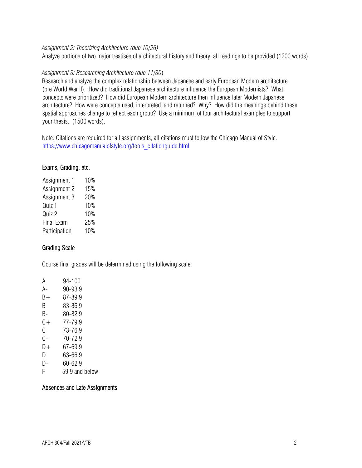## *Assignment 2: Theorizing Architecture (due 10/26)*

Analyze portions of two major treatises of architectural history and theory; all readings to be provided (1200 words).

## *Assignment 3: Researching Architecture (due 11/30*)

Research and analyze the complex relationship between Japanese and early European Modern architecture (pre World War II). How did traditional Japanese architecture influence the European Modernists? What concepts were prioritized? How did European Modern architecture then influence later Modern Japanese architecture? How were concepts used, interpreted, and returned? Why? How did the meanings behind these spatial approaches change to reflect each group? Use a minimum of four architectural examples to support your thesis. (1500 words).

Note: Citations are required for all assignments; all citations must follow the Chicago Manual of Style. https://www.chicagomanualofstyle.org/tools\_citationguide.html

## Exams, Grading, etc.

| Assignment 1      | 10% |
|-------------------|-----|
| Assignment 2      | 15% |
| Assignment 3      | 20% |
| Quiz 1            | 10% |
| Quiz 2            | 10% |
| <b>Final Exam</b> | 25% |
| Participation     | 10% |

## Grading Scale

Course final grades will be determined using the following scale:

| А  | 94-100     |
|----|------------|
| А- | 90-93.9    |
| B+ | 87-89.9    |
| B  | 83-86.9    |
| B- | 80-82.9    |
| C+ | 77-79.9    |
| C  | 73-76.9    |
| С- | 70-72.9    |
| D+ | 67-69.9    |
| D  | 63-66.9    |
| D- | 60-62.9    |
| ┍  | F A A L II |

F 59.9 and below

### Absences and Late Assignments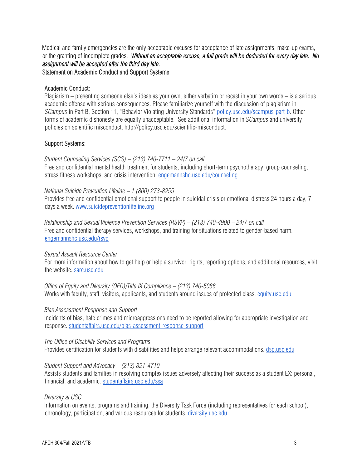Medical and family emergencies are the only acceptable excuses for acceptance of late assignments, make-up exams, or the granting of incomplete grades. *Without an acceptable excuse, a full grade will be deducted for every day late. No assignment will be accepted after the third day late.*  Statement on Academic Conduct and Support Systems

#### Academic Conduct:

Plagiarism – presenting someone else's ideas as your own, either verbatim or recast in your own words – is a serious academic offense with serious consequences. Please familiarize yourself with the discussion of plagiarism in *SCampus* in Part B, Section 11, "Behavior Violating University Standards" policy.usc.edu/scampus-part-b. Other forms of academic dishonesty are equally unacceptable. See additional information in *SCampus* and university policies on scientific misconduct, http://policy.usc.edu/scientific-misconduct.

### Support Systems:

*Student Counseling Services (SCS) – (213) 740-7711 – 24/7 on call*  Free and confidential mental health treatment for students, including short-term psychotherapy, group counseling, stress fitness workshops, and crisis intervention. engemannshc.usc.edu/counseling

### *National Suicide Prevention Lifeline – 1 (800) 273-8255*

Provides free and confidential emotional support to people in suicidal crisis or emotional distress 24 hours a day, 7 days a week. www.suicidepreventionlifeline.org

*Relationship and Sexual Violence Prevention Services (RSVP) – (213) 740-4900 – 24/7 on call*  Free and confidential therapy services, workshops, and training for situations related to gender-based harm. engemannshc.usc.edu/rsvp

### *Sexual Assault Resource Center*

For more information about how to get help or help a survivor, rights, reporting options, and additional resources, visit the website: sarc.usc.edu

*Office of Equity and Diversity (OED)/Title IX Compliance – (213) 740-5086*  Works with faculty, staff, visitors, applicants, and students around issues of protected class. equity.usc.edu

#### *Bias Assessment Response and Support*

Incidents of bias, hate crimes and microaggressions need to be reported allowing for appropriate investigation and response. studentaffairs.usc.edu/bias-assessment-response-support

#### *The Office of Disability Services and Programs*

Provides certification for students with disabilities and helps arrange relevant accommodations. dsp.usc.edu

### *Student Support and Advocacy – (213) 821-4710*

Assists students and families in resolving complex issues adversely affecting their success as a student EX: personal, financial, and academic. studentaffairs.usc.edu/ssa

### *Diversity at USC*

Information on events, programs and training, the Diversity Task Force (including representatives for each school), chronology, participation, and various resources for students. diversity.usc.edu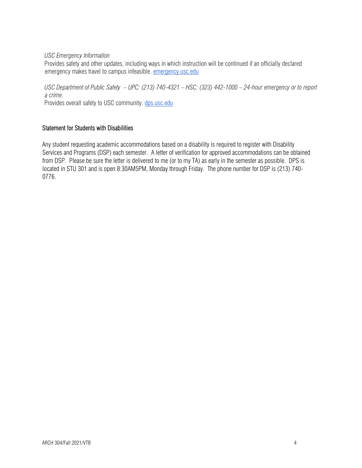## *USC Emergency Information*

Provides safety and other updates, including ways in which instruction will be continued if an officially declared emergency makes travel to campus infeasible. emergency.usc.edu

*USC Department of Public Safety – UPC: (213) 740-4321 – HSC: (323) 442-1000 – 24-hour emergency or to report a crime.* 

Provides overall safety to USC community. dps.usc.edu

# Statement for Students with Disabilities

Any student requesting academic accommodations based on a disability is required to register with Disability Services and Programs (DSP) each semester. A letter of verification for approved accommodations can be obtained from DSP. Please be sure the letter is delivered to me (or to my TA) as early in the semester as possible. DPS is located in STU 301 and is open 8:30AM5PM, Monday through Friday. The phone number for DSP is (213) 740- 0776.